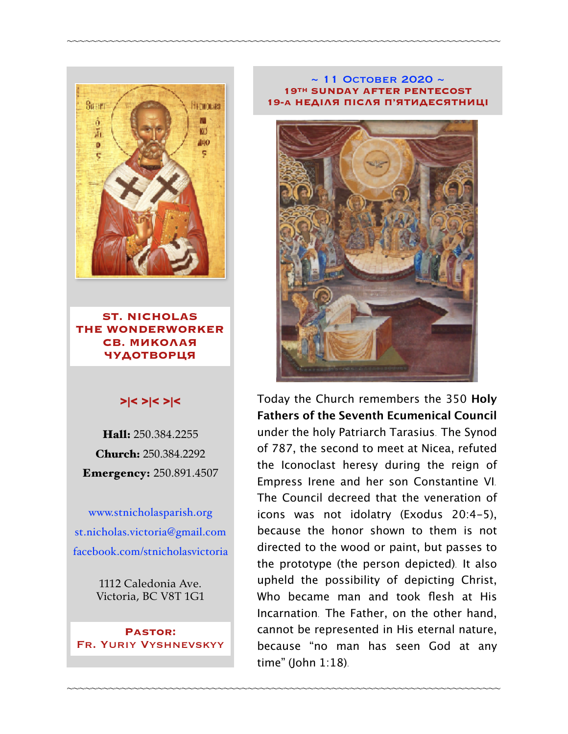

**ST. NICHOLAS THE WONDERWORKER СВ. МИКОЛАЯ ЧУДОТВОРЦЯ**

## >|< >|< >|<

Hall: 250.384.2255 Church: 250.384.2292 Emergency: 250.891.4507

[www.stnicholasparish.org](http://www.stnicholasparish.org) [st.nicholas.victoria@gmail.com](mailto:st.nicholas.victoria@gmail.com) [facebook.com/stnicholasvictoria](http://facebook.com/stnicholasvictoria)

> 1112 Caledonia Ave. Victoria, BC V8T 1G1

**Pastor:**  Fr. Yuriy Vyshnevskyy

#### $\sim$  11 OCTOBER 2020  $\sim$ **19TH SUNDAY AFTER PENTECOST 19-а НЕДІЛЯ ПІСЛЯ П'ЯТИДЕСЯТНИЦІ**

~~~~~~~~~~~~~~~~~~~~~~~~~~~~~~~~~~~~~~~~~~~~~~~~~~~~~~~~~~~~~~~~~~~~~~~~



Today the Church remembers the 350 **Holy Fathers of the Seventh Ecumenical Council** under the holy Patriarch Tarasius. The Synod of 787, the second to meet at Nicea, refuted the Iconoclast heresy during the reign of Empress Irene and her son Constantine VI. The Council decreed that the veneration of icons was not idolatry (Exodus 20:4-5), because the honor shown to them is not directed to the wood or paint, but passes to the prototype (the person depicted). It also upheld the possibility of depicting Christ, Who became man and took flesh at His Incarnation. The Father, on the other hand, cannot be represented in His eternal nature, because "no man has seen God at any time" (John 1:18).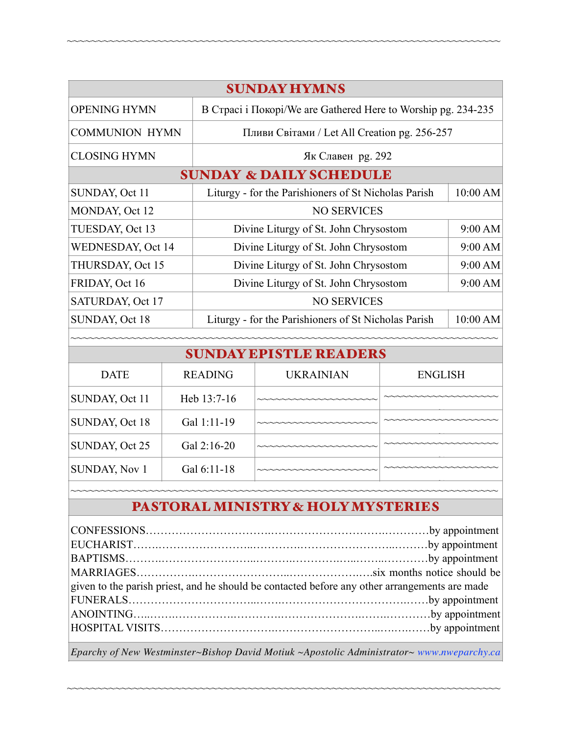| <b>SUNDAY HYMNS</b>                |                |                                                               |                  |                |          |  |  |
|------------------------------------|----------------|---------------------------------------------------------------|------------------|----------------|----------|--|--|
| <b>OPENING HYMN</b>                |                | В Страсі і Покорі/We are Gathered Here to Worship pg. 234-235 |                  |                |          |  |  |
| <b>COMMUNION HYMN</b>              |                | Пливи Світами / Let All Creation pg. 256-257                  |                  |                |          |  |  |
| <b>CLOSING HYMN</b>                |                | Як Славен рg. 292                                             |                  |                |          |  |  |
| <b>SUNDAY &amp; DAILY SCHEDULE</b> |                |                                                               |                  |                |          |  |  |
| SUNDAY, Oct 11                     |                | Liturgy - for the Parishioners of St Nicholas Parish          |                  |                | 10:00 AM |  |  |
| MONDAY, Oct 12                     |                | <b>NO SERVICES</b>                                            |                  |                |          |  |  |
| TUESDAY, Oct 13                    |                | Divine Liturgy of St. John Chrysostom                         |                  |                | 9:00 AM  |  |  |
| WEDNESDAY, Oct 14                  |                | Divine Liturgy of St. John Chrysostom                         |                  |                | 9:00 AM  |  |  |
| THURSDAY, Oct 15                   |                | Divine Liturgy of St. John Chrysostom                         |                  |                | 9:00 AM  |  |  |
| FRIDAY, Oct 16                     |                | 9:00 AM<br>Divine Liturgy of St. John Chrysostom              |                  |                |          |  |  |
| SATURDAY, Oct 17                   |                | <b>NO SERVICES</b>                                            |                  |                |          |  |  |
| SUNDAY, Oct 18                     |                | Liturgy - for the Parishioners of St Nicholas Parish          |                  |                | 10:00 AM |  |  |
|                                    |                |                                                               |                  |                |          |  |  |
| <b>SUNDAY EPISTLE READERS</b>      |                |                                                               |                  |                |          |  |  |
| <b>DATE</b>                        | <b>READING</b> |                                                               | <b>UKRAINIAN</b> | <b>ENGLISH</b> |          |  |  |
| SUNDAY, Oct 11                     | Heb 13:7-16    |                                                               |                  |                |          |  |  |
| SUNDAY, Oct 18                     | Gal 1:11-19    |                                                               |                  |                |          |  |  |
| SUNDAY, Oct 25                     |                | Gal 2:16-20                                                   |                  |                |          |  |  |
| SUNDAY, Nov 1                      | Gal 6:11-18    |                                                               |                  |                |          |  |  |

~~~~~~~~~~~~~~~~~~~~~~~~~~~~~~~~~~~~~~~~~~~~~~~~~~~~~~~~~~~~~~~~~~~~~~~~

# <sup>~</sup> PASTORAL MINISTRY & HOLY MYSTERIES

<sup>~</sup> ~~~~~~~~~~~~~~~~~~~~~~~~~~~~~~~~~~~~~~~~~~~~~~~~~~~~~~~~~~~~~~~~~~~~~~~

| given to the parish priest, and he should be contacted before any other arrangements are made |  |  |  |  |
|-----------------------------------------------------------------------------------------------|--|--|--|--|
|                                                                                               |  |  |  |  |
|                                                                                               |  |  |  |  |
|                                                                                               |  |  |  |  |
|                                                                                               |  |  |  |  |

*Eparchy of New Westminster~Bishop David Motiuk ~Apostolic Administrator~ [www.nweparchy.ca](http://www.nweparchy.ca)*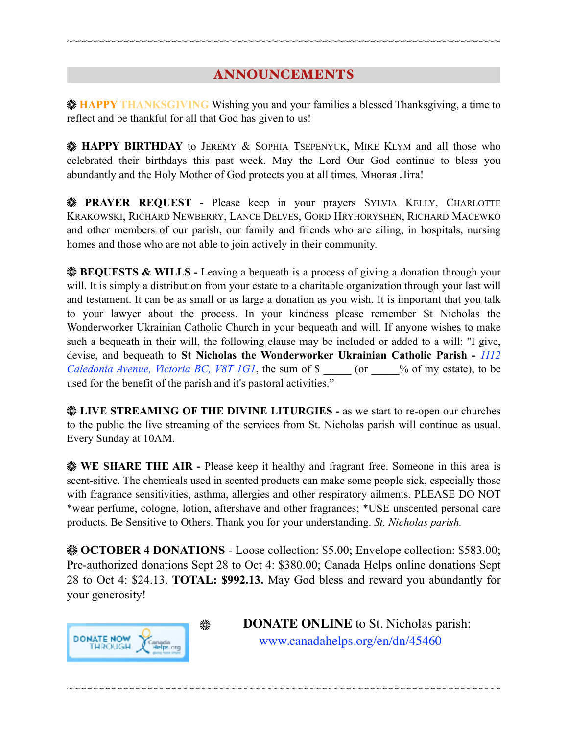## ANNOUNCEMENTS

~~~~~~~~~~~~~~~~~~~~~~~~~~~~~~~~~~~~~~~~~~~~~~~~~~~~~~~~~~~~~~~~~~~~~~~~

**WE HAPPY THANKSGIVING** Wishing you and your families a blessed Thanksgiving, a time to reflect and be thankful for all that God has given to us!

**HAPPY BIRTHDAY** to JEREMY & SOPHIA TSEPENYUK, MIKE KLYM and all those who celebrated their birthdays this past week. May the Lord Our God continue to bless you abundantly and the Holy Mother of God protects you at all times. Многая Літа!

**PRAYER REQUEST -** Please keep in your prayers SYLVIA KELLY, CHARLOTTE KRAKOWSKI, RICHARD NEWBERRY, LANCE DELVES, GORD HRYHORYSHEN, RICHARD MACEWKO and other members of our parish, our family and friends who are ailing, in hospitals, nursing homes and those who are not able to join actively in their community.

**EXECUESTS & WILLS -** Leaving a bequeath is a process of giving a donation through your will. It is simply a distribution from your estate to a charitable organization through your last will and testament. It can be as small or as large a donation as you wish. It is important that you talk to your lawyer about the process. In your kindness please remember St Nicholas the Wonderworker Ukrainian Catholic Church in your bequeath and will. If anyone wishes to make such a bequeath in their will, the following clause may be included or added to a will: "I give, devise, and bequeath to **St Nicholas the Wonderworker Ukrainian Catholic Parish -** *1112 Caledonia Avenue, Victoria BC, V8T 1G1*, the sum of \$  $\qquad$  (or  $\qquad$  % of my estate), to be used for the benefit of the parish and it's pastoral activities."

**LIVE STREAMING OF THE DIVINE LITURGIES -** as we start to re-open our churches to the public the live streaming of the services from St. Nicholas parish will continue as usual. Every Sunday at 10AM.

**WE SHARE THE AIR - Please keep it healthy and fragrant free. Someone in this area is** scent-sitive. The chemicals used in scented products can make some people sick, especially those with fragrance sensitivities, asthma, allergies and other respiratory ailments. PLEASE DO NOT \*wear perfume, cologne, lotion, aftershave and other fragrances; \*USE unscented personal care products. Be Sensitive to Others. Thank you for your understanding. *St. Nicholas parish.* 

**EXECTOBER 4 DONATIONS - Loose collection: \$5.00; Envelope collection: \$583.00;** Pre-authorized donations Sept 28 to Oct 4: \$380.00; Canada Helps online donations Sept 28 to Oct 4: \$24.13. **TOTAL: \$992.13.** May God bless and reward you abundantly for your generosity!

~~~~~~~~~~~~~~~~~~~~~~~~~~~~~~~~~~~~~~~~~~~~~~~~~~~~~~~~~~~~~~~~~~~~~~~~



**DONATE ONLINE** to St. Nicholas parish: [www.canadahelps.org/en/dn/45460](http://www.canadahelps.org/en/dn/45460)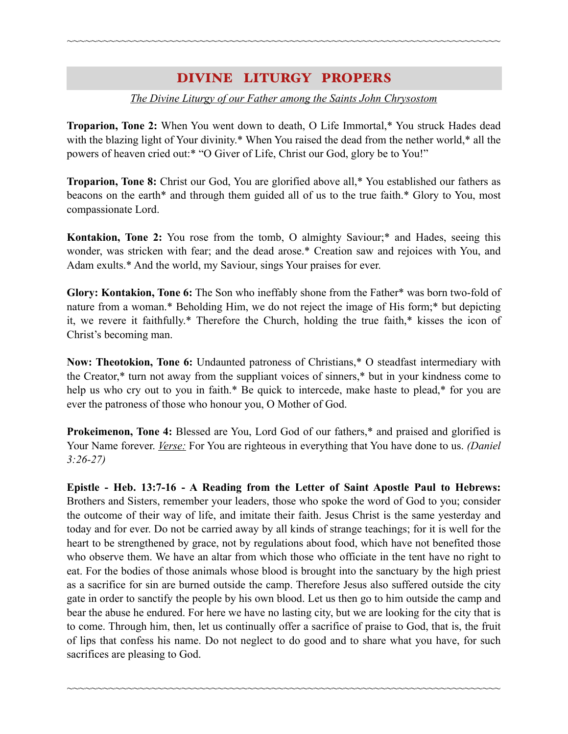## DIVINE LITURGY PROPERS

~~~~~~~~~~~~~~~~~~~~~~~~~~~~~~~~~~~~~~~~~~~~~~~~~~~~~~~~~~~~~~~~~~~~~~~~

### *The Divine Liturgy of our Father among the Saints John Chrysostom*

**Troparion, Tone 2:** When You went down to death, O Life Immortal,\* You struck Hades dead with the blazing light of Your divinity.\* When You raised the dead from the nether world,\* all the powers of heaven cried out:\* "O Giver of Life, Christ our God, glory be to You!"

**Troparion, Tone 8:** Christ our God, You are glorified above all,\* You established our fathers as beacons on the earth\* and through them guided all of us to the true faith.\* Glory to You, most compassionate Lord.

**Kontakion, Tone 2:** You rose from the tomb, O almighty Saviour;\* and Hades, seeing this wonder, was stricken with fear; and the dead arose.\* Creation saw and rejoices with You, and Adam exults.\* And the world, my Saviour, sings Your praises for ever.

**Glory: Kontakion, Tone 6:** The Son who ineffably shone from the Father\* was born two-fold of nature from a woman.\* Beholding Him, we do not reject the image of His form;\* but depicting it, we revere it faithfully.\* Therefore the Church, holding the true faith,\* kisses the icon of Christ's becoming man.

**Now: Theotokion, Tone 6:** Undaunted patroness of Christians,\* O steadfast intermediary with the Creator,\* turn not away from the suppliant voices of sinners,\* but in your kindness come to help us who cry out to you in faith.\* Be quick to intercede, make haste to plead,\* for you are ever the patroness of those who honour you, O Mother of God.

**Prokeimenon, Tone 4:** Blessed are You, Lord God of our fathers,\* and praised and glorified is Your Name forever. *Verse:* For You are righteous in everything that You have done to us. *(Daniel 3:26-27)* 

**Epistle - Heb. 13:7-16 - A Reading from the Letter of Saint Apostle Paul to Hebrews:** Brothers and Sisters, remember your leaders, those who spoke the word of God to you; consider the outcome of their way of life, and imitate their faith. Jesus Christ is the same yesterday and today and for ever. Do not be carried away by all kinds of strange teachings; for it is well for the heart to be strengthened by grace, not by regulations about food, which have not benefited those who observe them. We have an altar from which those who officiate in the tent have no right to eat. For the bodies of those animals whose blood is brought into the sanctuary by the high priest as a sacrifice for sin are burned outside the camp. Therefore Jesus also suffered outside the city gate in order to sanctify the people by his own blood. Let us then go to him outside the camp and bear the abuse he endured. For here we have no lasting city, but we are looking for the city that is to come. Through him, then, let us continually offer a sacrifice of praise to God, that is, the fruit of lips that confess his name. Do not neglect to do good and to share what you have, for such sacrifices are pleasing to God.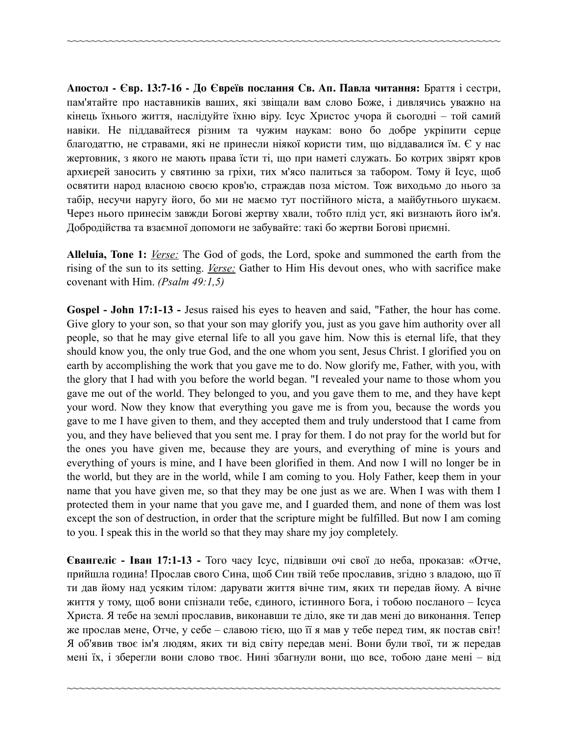**Апостол - Євр. 13:7-16 - До Євреїв послання Св. Ап. Павла читання:** Браття і сестри, пам'ятайте про наставників ваших, які звіщали вам слово Боже, і дивлячись уважно на кінець їхнього життя, наслідуйте їхню віру. Ісус Христос учора й сьогодні – той самий навіки. Не піддавайтеся різним та чужим наукам: воно бо добре укріпити серце благодаттю, не стравами, які не принесли ніякої користи тим, що віддавалися їм. Є у нас жертовник, з якого не мають права їсти ті, що при наметі служать. Бо котрих звірят кров архиєрей заносить у святиню за гріхи, тих м'ясо палиться за табором. Тому й Ісус, щоб освятити народ власною своєю кров'ю, страждав поза містом. Тож виходьмо до нього за табір, несучи наругу його, бо ми не маємо тут постійного міста, а майбутнього шукаєм. Через нього принесім завжди Богові жертву хвали, тобто плід уст, які визнають його ім'я. Добродійства та взаємної допомоги не забувайте: такі бо жертви Богові приємні.

~~~~~~~~~~~~~~~~~~~~~~~~~~~~~~~~~~~~~~~~~~~~~~~~~~~~~~~~~~~~~~~~~~~~~~~~

**Alleluia, Tone 1:** *Verse:* The God of gods, the Lord, spoke and summoned the earth from the rising of the sun to its setting. *Verse:* Gather to Him His devout ones, who with sacrifice make covenant with Him. *(Psalm 49:1,5)* 

**Gospel - John 17:1-13 -** Jesus raised his eyes to heaven and said, "Father, the hour has come. Give glory to your son, so that your son may glorify you, just as you gave him authority over all people, so that he may give eternal life to all you gave him. Now this is eternal life, that they should know you, the only true God, and the one whom you sent, Jesus Christ. I glorified you on earth by accomplishing the work that you gave me to do. Now glorify me, Father, with you, with the glory that I had with you before the world began. "I revealed your name to those whom you gave me out of the world. They belonged to you, and you gave them to me, and they have kept your word. Now they know that everything you gave me is from you, because the words you gave to me I have given to them, and they accepted them and truly understood that I came from you, and they have believed that you sent me. I pray for them. I do not pray for the world but for the ones you have given me, because they are yours, and everything of mine is yours and everything of yours is mine, and I have been glorified in them. And now I will no longer be in the world, but they are in the world, while I am coming to you. Holy Father, keep them in your name that you have given me, so that they may be one just as we are. When I was with them I protected them in your name that you gave me, and I guarded them, and none of them was lost except the son of destruction, in order that the scripture might be fulfilled. But now I am coming to you. I speak this in the world so that they may share my joy completely.

**Євангеліє - Іван 17:1-13 -** Того часу Ісус, підвівши очі свої до неба, проказав: «Отче, прийшла година! Прослав свого Сина, щоб Син твій тебе прославив, згідно з владою, що її ти дав йому над усяким тілом: дарувати життя вічне тим, яких ти передав йому. А вічне життя у тому, щоб вони спізнали тебе, єдиного, істинного Бога, і тобою посланого – Ісуса Христа. Я тебе на землі прославив, виконавши те діло, яке ти дав мені до виконання. Тепер же прослав мене, Отче, у себе – славою тією, що її я мав у тебе перед тим, як постав світ! Я об'явив твоє ім'я людям, яких ти від світу передав мені. Вони були твої, ти ж передав мені їх, і зберегли вони слово твоє. Нині збагнули вони, що все, тобою дане мені – від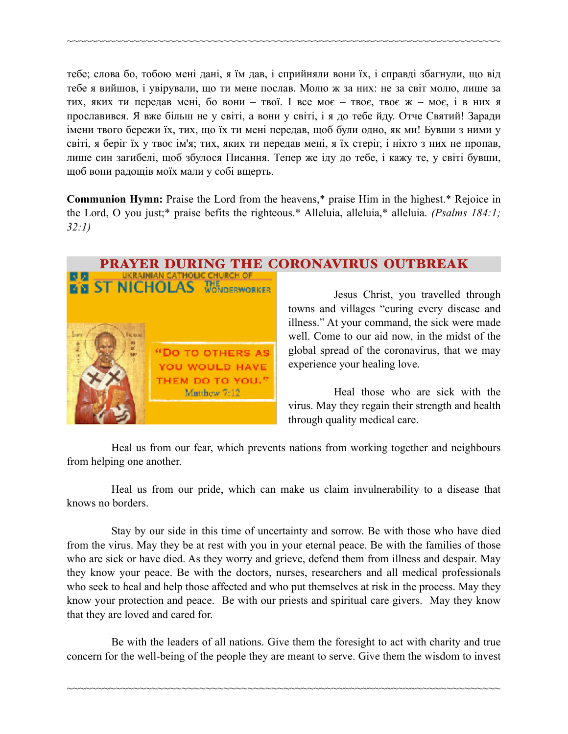тебе; слова бо, тобою мені дані, я їм дав, і сприйняли вони їх, і справді збагнули, що від тебе я вийшов, і увірували, що ти мене послав. Молю ж за них: не за світ молю, лише за тих, яких ти передав мені, бо вони – твої. І все моє – твоє, твоє ж – моє, і в них я прославився. Я вже більш не у світі, а вони у світі, і я до тебе йду. Отче Святий! Заради імени твого бережи їх, тих, що їх ти мені передав, щоб були одно, як ми! Бувши з ними у світі, я беріг їх у твоє ім'я; тих, яких ти передав мені, я їх стеріг, і ніхто з них не пропав, лише син загибелі, щоб збулося Писання. Тепер же іду до тебе, і кажу те, у світі бувши, щоб вони радощів моїх мали у собі вщерть.

~~~~~~~~~~~~~~~~~~~~~~~~~~~~~~~~~~~~~~~~~~~~~~~~~~~~~~~~~~~~~~~~~~~~~~~~

**Communion Hymn:** Praise the Lord from the heavens,\* praise Him in the highest.\* Rejoice in the Lord, O you just;\* praise befits the righteous.\* Alleluia, alleluia,\* alleluia. *(Psalms 184:1; 32:1)*

# **PRAYER DURING THE CORONAVIRUS OUTBREAK**



Jesus Christ, you travelled through towns and villages "curing every disease and illness." At your command, the sick were made well. Come to our aid now, in the midst of the global spread of the coronavirus, that we may experience your healing love.

 Heal those who are sick with the virus. May they regain their strength and health through quality medical care.

Heal us from our fear, which prevents nations from working together and neighbours from helping one another.

Heal us from our pride, which can make us claim invulnerability to a disease that knows no borders.

Stay by our side in this time of uncertainty and sorrow. Be with those who have died from the virus. May they be at rest with you in your eternal peace. Be with the families of those who are sick or have died. As they worry and grieve, defend them from illness and despair. May they know your peace. Be with the doctors, nurses, researchers and all medical professionals who seek to heal and help those affected and who put themselves at risk in the process. May they know your protection and peace. Be with our priests and spiritual care givers. May they know that they are loved and cared for.

Be with the leaders of all nations. Give them the foresight to act with charity and true concern for the well-being of the people they are meant to serve. Give them the wisdom to invest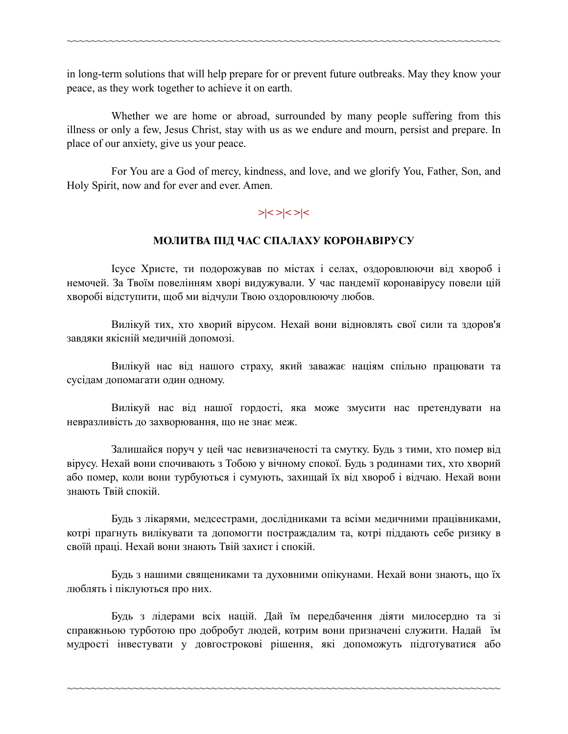in long-term solutions that will help prepare for or prevent future outbreaks. May they know your peace, as they work together to achieve it on earth.

~~~~~~~~~~~~~~~~~~~~~~~~~~~~~~~~~~~~~~~~~~~~~~~~~~~~~~~~~~~~~~~~~~~~~~~~

Whether we are home or abroad, surrounded by many people suffering from this illness or only a few, Jesus Christ, stay with us as we endure and mourn, persist and prepare. In place of our anxiety, give us your peace.

For You are a God of mercy, kindness, and love, and we glorify You, Father, Son, and Holy Spirit, now and for ever and ever. Amen.

## **>|< >|< >|<**

## **МОЛИТВА ПІД ЧАС СПАЛАХУ КОРОНАВІРУСУ**

Ісусе Христе, ти подорожував по містах і селах, оздоровлюючи від хвороб і немочей. За Твоїм повелінням хворі видужували. У час пандемії коронавірусу повели цій хворобі відступити, щоб ми відчули Твою оздоровлюючу любов.

Вилікуй тих, хто хворий вірусом. Нехай вони відновлять свої сили та здоров'я завдяки якісній медичній допомозі.

Вилікуй нас від нашого страху, який заважає націям спільно працювати та сусідам допомагати один одному.

Вилікуй нас від нашої гордості, яка може змусити нас претендувати на невразливість до захворювання, що не знає меж.

Залишайся поруч у цей час невизначеності та смутку. Будь з тими, хто помер від вірусу. Нехай вони спочивають з Тобою у вічному спокої. Будь з родинами тих, хто хворий або помер, коли вони турбуються і сумують, захищай їх від хвороб і відчаю. Нехай вони знають Твій спокій.

Будь з лікарями, медсестрами, дослідниками та всіми медичними працівниками, котрі прагнуть вилікувати та допомогти постраждалим та, котрі піддають себе ризику в своїй праці. Нехай вони знають Твій захист і спокій.

Будь з нашими священиками та духовними опікунами. Нехай вони знають, що їх люблять і піклуються про них.

Будь з лідерами всіх націй. Дай їм передбачення діяти милосердно та зі справжньою турботою про добробут людей, котрим вони призначені служити. Надай їм мудрості інвестувати у довгострокові рішення, які допоможуть підготуватися або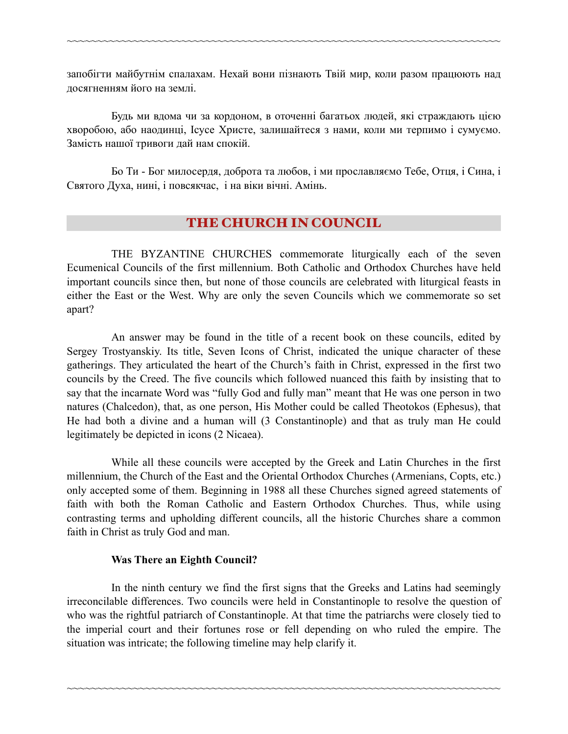запобігти майбутнім спалахам. Нехай вони пізнають Твій мир, коли разом працюють над досягненням його на землі.

~~~~~~~~~~~~~~~~~~~~~~~~~~~~~~~~~~~~~~~~~~~~~~~~~~~~~~~~~~~~~~~~~~~~~~~~

Будь ми вдома чи за кордоном, в оточенні багатьох людей, які страждають цією хворобою, або наодинці, Ісусе Христе, залишайтеся з нами, коли ми терпимо і сумуємо. Замість нашої тривоги дай нам спокій.

Бо Ти - Бог милосердя, доброта та любов, і ми прославляємо Тебе, Отця, і Сина, і Святого Духа, нині, і повсякчас, і на віки вічні. Амінь.

## THE CHURCH IN COUNCIL

THE BYZANTINE CHURCHES commemorate liturgically each of the seven Ecumenical Councils of the first millennium. Both Catholic and Orthodox Churches have held important councils since then, but none of those councils are celebrated with liturgical feasts in either the East or the West. Why are only the seven Councils which we commemorate so set apart?

An answer may be found in the title of a recent book on these councils, edited by Sergey Trostyanskiy. Its title, Seven Icons of Christ, indicated the unique character of these gatherings. They articulated the heart of the Church's faith in Christ, expressed in the first two councils by the Creed. The five councils which followed nuanced this faith by insisting that to say that the incarnate Word was "fully God and fully man" meant that He was one person in two natures (Chalcedon), that, as one person, His Mother could be called Theotokos (Ephesus), that He had both a divine and a human will (3 Constantinople) and that as truly man He could legitimately be depicted in icons (2 Nicaea).

While all these councils were accepted by the Greek and Latin Churches in the first millennium, the Church of the East and the Oriental Orthodox Churches (Armenians, Copts, etc.) only accepted some of them. Beginning in 1988 all these Churches signed agreed statements of faith with both the Roman Catholic and Eastern Orthodox Churches. Thus, while using contrasting terms and upholding different councils, all the historic Churches share a common faith in Christ as truly God and man.

### **Was There an Eighth Council?**

In the ninth century we find the first signs that the Greeks and Latins had seemingly irreconcilable differences. Two councils were held in Constantinople to resolve the question of who was the rightful patriarch of Constantinople. At that time the patriarchs were closely tied to the imperial court and their fortunes rose or fell depending on who ruled the empire. The situation was intricate; the following timeline may help clarify it.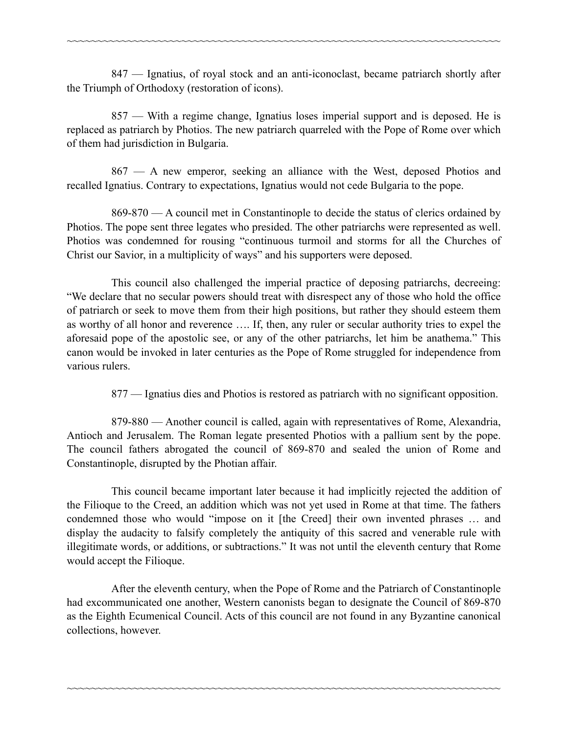847 — Ignatius, of royal stock and an anti-iconoclast, became patriarch shortly after the Triumph of Orthodoxy (restoration of icons).

~~~~~~~~~~~~~~~~~~~~~~~~~~~~~~~~~~~~~~~~~~~~~~~~~~~~~~~~~~~~~~~~~~~~~~~~

857 — With a regime change, Ignatius loses imperial support and is deposed. He is replaced as patriarch by Photios. The new patriarch quarreled with the Pope of Rome over which of them had jurisdiction in Bulgaria.

867 — A new emperor, seeking an alliance with the West, deposed Photios and recalled Ignatius. Contrary to expectations, Ignatius would not cede Bulgaria to the pope.

869-870 — A council met in Constantinople to decide the status of clerics ordained by Photios. The pope sent three legates who presided. The other patriarchs were represented as well. Photios was condemned for rousing "continuous turmoil and storms for all the Churches of Christ our Savior, in a multiplicity of ways" and his supporters were deposed.

This council also challenged the imperial practice of deposing patriarchs, decreeing: "We declare that no secular powers should treat with disrespect any of those who hold the office of patriarch or seek to move them from their high positions, but rather they should esteem them as worthy of all honor and reverence …. If, then, any ruler or secular authority tries to expel the aforesaid pope of the apostolic see, or any of the other patriarchs, let him be anathema." This canon would be invoked in later centuries as the Pope of Rome struggled for independence from various rulers.

877 — Ignatius dies and Photios is restored as patriarch with no significant opposition.

879-880 — Another council is called, again with representatives of Rome, Alexandria, Antioch and Jerusalem. The Roman legate presented Photios with a pallium sent by the pope. The council fathers abrogated the council of 869-870 and sealed the union of Rome and Constantinople, disrupted by the Photian affair.

This council became important later because it had implicitly rejected the addition of the Filioque to the Creed, an addition which was not yet used in Rome at that time. The fathers condemned those who would "impose on it [the Creed] their own invented phrases … and display the audacity to falsify completely the antiquity of this sacred and venerable rule with illegitimate words, or additions, or subtractions." It was not until the eleventh century that Rome would accept the Filioque.

After the eleventh century, when the Pope of Rome and the Patriarch of Constantinople had excommunicated one another, Western canonists began to designate the Council of 869-870 as the Eighth Ecumenical Council. Acts of this council are not found in any Byzantine canonical collections, however.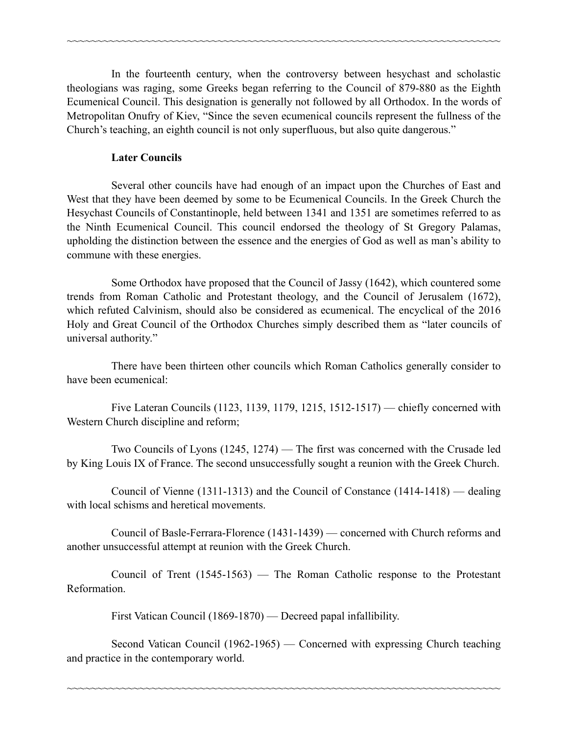In the fourteenth century, when the controversy between hesychast and scholastic theologians was raging, some Greeks began referring to the Council of 879-880 as the Eighth Ecumenical Council. This designation is generally not followed by all Orthodox. In the words of Metropolitan Onufry of Kiev, "Since the seven ecumenical councils represent the fullness of the Church's teaching, an eighth council is not only superfluous, but also quite dangerous."

~~~~~~~~~~~~~~~~~~~~~~~~~~~~~~~~~~~~~~~~~~~~~~~~~~~~~~~~~~~~~~~~~~~~~~~~

### **Later Councils**

Several other councils have had enough of an impact upon the Churches of East and West that they have been deemed by some to be Ecumenical Councils. In the Greek Church the Hesychast Councils of Constantinople, held between 1341 and 1351 are sometimes referred to as the Ninth Ecumenical Council. This council endorsed the theology of St Gregory Palamas, upholding the distinction between the essence and the energies of God as well as man's ability to commune with these energies.

Some Orthodox have proposed that the Council of Jassy (1642), which countered some trends from Roman Catholic and Protestant theology, and the Council of Jerusalem (1672), which refuted Calvinism, should also be considered as ecumenical. The encyclical of the 2016 Holy and Great Council of the Orthodox Churches simply described them as "later councils of universal authority."

There have been thirteen other councils which Roman Catholics generally consider to have been ecumenical:

Five Lateran Councils (1123, 1139, 1179, 1215, 1512-1517) — chiefly concerned with Western Church discipline and reform;

Two Councils of Lyons (1245, 1274) — The first was concerned with the Crusade led by King Louis IX of France. The second unsuccessfully sought a reunion with the Greek Church.

Council of Vienne (1311-1313) and the Council of Constance (1414-1418) — dealing with local schisms and heretical movements.

Council of Basle-Ferrara-Florence (1431-1439) — concerned with Church reforms and another unsuccessful attempt at reunion with the Greek Church.

Council of Trent (1545-1563) — The Roman Catholic response to the Protestant Reformation.

First Vatican Council (1869-1870) — Decreed papal infallibility.

Second Vatican Council (1962-1965) — Concerned with expressing Church teaching and practice in the contemporary world.